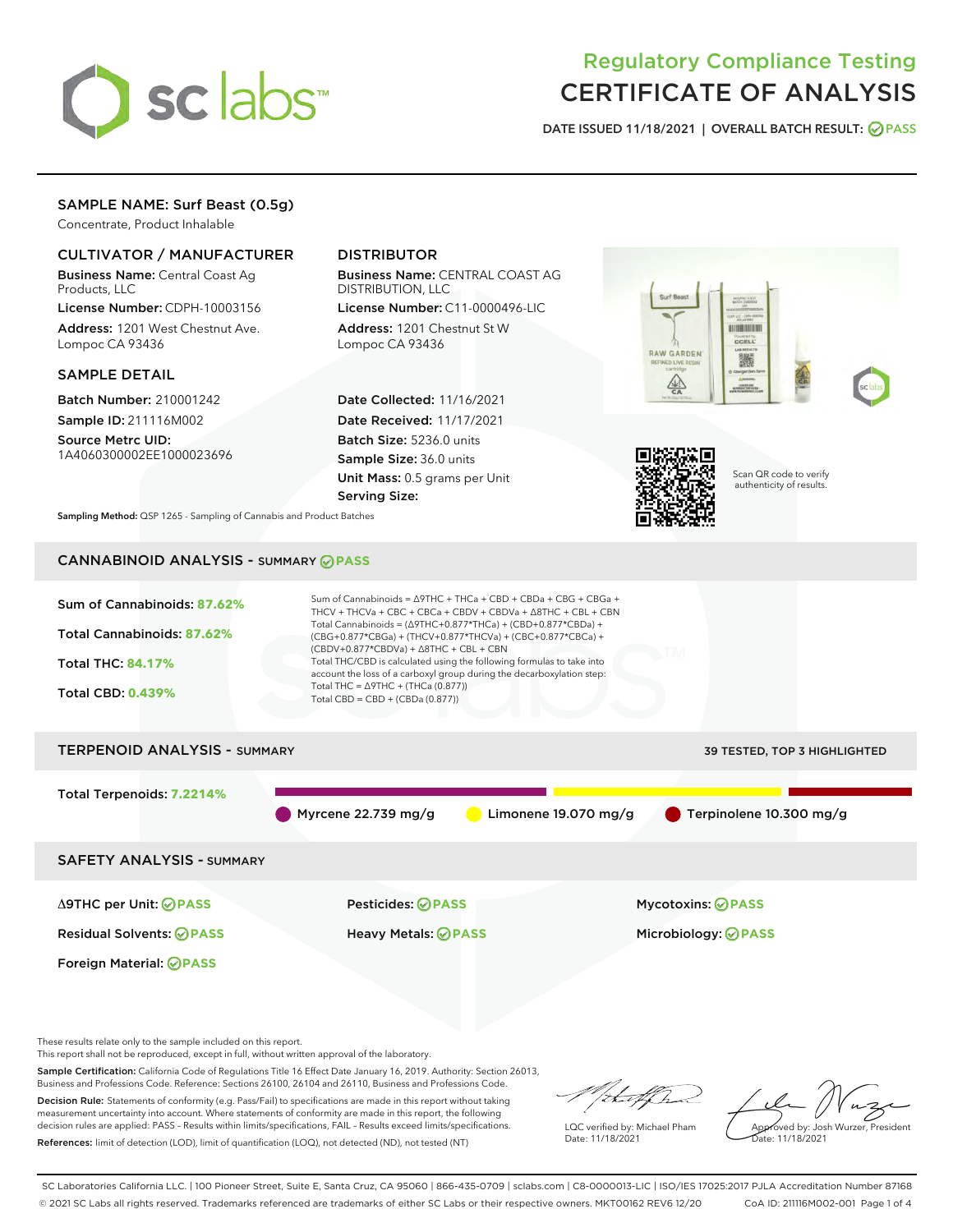

# Regulatory Compliance Testing CERTIFICATE OF ANALYSIS

DATE ISSUED 11/18/2021 | OVERALL BATCH RESULT: @ PASS

### SAMPLE NAME: Surf Beast (0.5g)

Concentrate, Product Inhalable

#### CULTIVATOR / MANUFACTURER

Business Name: Central Coast Ag Products, LLC

License Number: CDPH-10003156 Address: 1201 West Chestnut Ave. Lompoc CA 93436

#### SAMPLE DETAIL

Batch Number: 210001242 Sample ID: 211116M002

Source Metrc UID: 1A4060300002EE1000023696

## DISTRIBUTOR

Business Name: CENTRAL COAST AG DISTRIBUTION, LLC

License Number: C11-0000496-LIC Address: 1201 Chestnut St W Lompoc CA 93436

Date Collected: 11/16/2021 Date Received: 11/17/2021 Batch Size: 5236.0 units Sample Size: 36.0 units Unit Mass: 0.5 grams per Unit Serving Size:





Scan QR code to verify authenticity of results.

Sampling Method: QSP 1265 - Sampling of Cannabis and Product Batches

# CANNABINOID ANALYSIS - SUMMARY **PASS**



Sample Certification: California Code of Regulations Title 16 Effect Date January 16, 2019. Authority: Section 26013, Business and Professions Code. Reference: Sections 26100, 26104 and 26110, Business and Professions Code. Decision Rule: Statements of conformity (e.g. Pass/Fail) to specifications are made in this report without taking measurement uncertainty into account. Where statements of conformity are made in this report, the following decision rules are applied: PASS – Results within limits/specifications, FAIL – Results exceed limits/specifications.

References: limit of detection (LOD), limit of quantification (LOQ), not detected (ND), not tested (NT)

that f In LQC verified by: Michael Pham

Date: 11/18/2021

Approved by: Josh Wurzer, President ate: 11/18/2021

SC Laboratories California LLC. | 100 Pioneer Street, Suite E, Santa Cruz, CA 95060 | 866-435-0709 | sclabs.com | C8-0000013-LIC | ISO/IES 17025:2017 PJLA Accreditation Number 87168 © 2021 SC Labs all rights reserved. Trademarks referenced are trademarks of either SC Labs or their respective owners. MKT00162 REV6 12/20 CoA ID: 211116M002-001 Page 1 of 4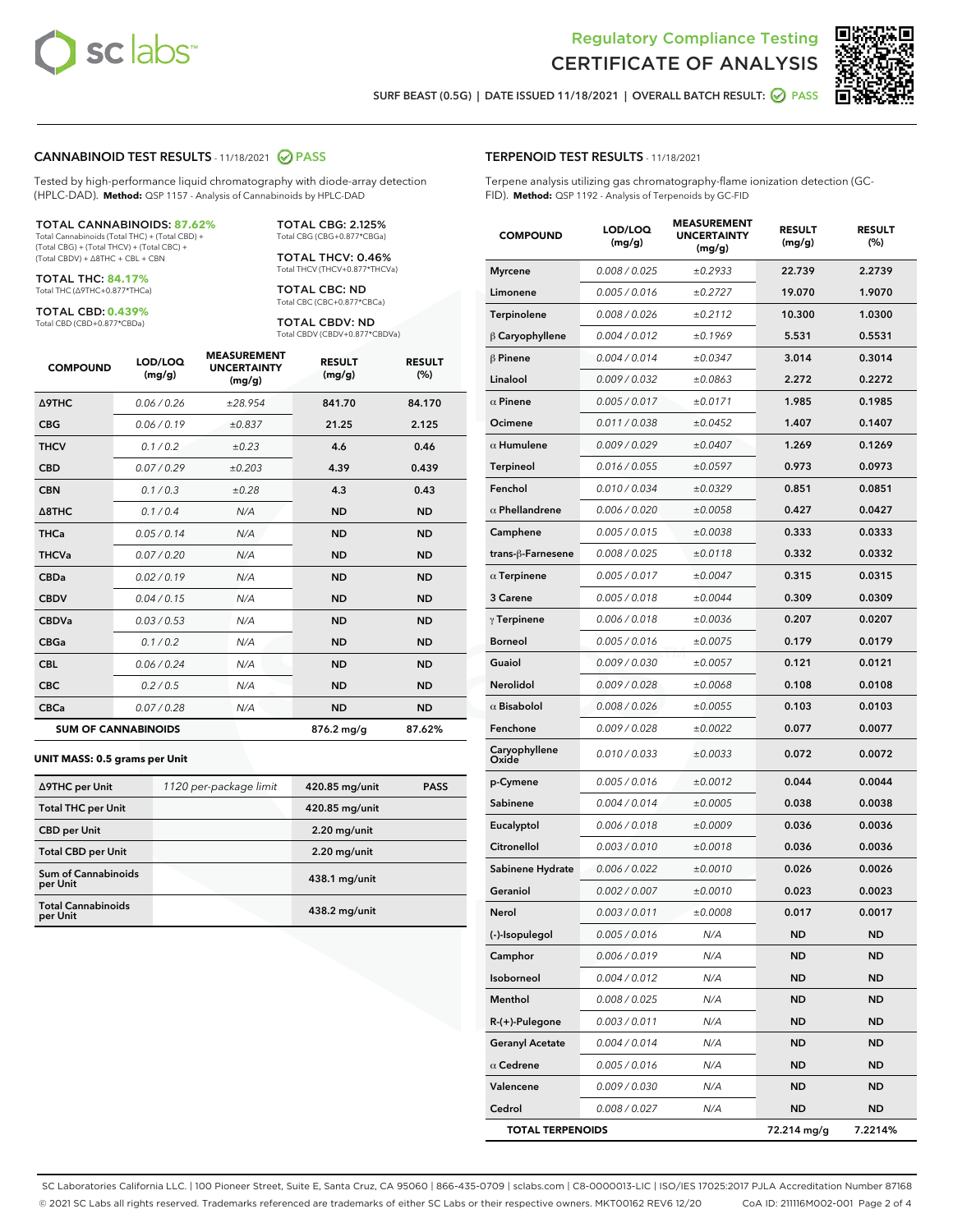



SURF BEAST (0.5G) | DATE ISSUED 11/18/2021 | OVERALL BATCH RESULT:  $\bigcirc$  PASS

#### CANNABINOID TEST RESULTS - 11/18/2021 2 PASS

Tested by high-performance liquid chromatography with diode-array detection (HPLC-DAD). **Method:** QSP 1157 - Analysis of Cannabinoids by HPLC-DAD

#### TOTAL CANNABINOIDS: **87.62%**

Total Cannabinoids (Total THC) + (Total CBD) + (Total CBG) + (Total THCV) + (Total CBC) + (Total CBDV) + ∆8THC + CBL + CBN

TOTAL THC: **84.17%** Total THC (∆9THC+0.877\*THCa)

TOTAL CBD: **0.439%**

Total CBD (CBD+0.877\*CBDa)

TOTAL CBG: 2.125% Total CBG (CBG+0.877\*CBGa)

TOTAL THCV: 0.46% Total THCV (THCV+0.877\*THCVa)

TOTAL CBC: ND Total CBC (CBC+0.877\*CBCa)

TOTAL CBDV: ND Total CBDV (CBDV+0.877\*CBDVa)

| <b>COMPOUND</b>            | LOD/LOQ<br>(mg/g) | <b>MEASUREMENT</b><br><b>UNCERTAINTY</b><br>(mg/g) | <b>RESULT</b><br>(mg/g) | <b>RESULT</b><br>(%) |
|----------------------------|-------------------|----------------------------------------------------|-------------------------|----------------------|
| <b>A9THC</b>               | 0.06 / 0.26       | ±28.954                                            | 841.70                  | 84.170               |
| <b>CBG</b>                 | 0.06/0.19         | ±0.837                                             | 21.25                   | 2.125                |
| <b>THCV</b>                | 0.1 / 0.2         | ±0.23                                              | 4.6                     | 0.46                 |
| <b>CBD</b>                 | 0.07/0.29         | ±0.203                                             | 4.39                    | 0.439                |
| <b>CBN</b>                 | 0.1/0.3           | ±0.28                                              | 4.3                     | 0.43                 |
| $\triangle$ 8THC           | 0.1/0.4           | N/A                                                | <b>ND</b>               | <b>ND</b>            |
| <b>THCa</b>                | 0.05/0.14         | N/A                                                | <b>ND</b>               | <b>ND</b>            |
| <b>THCVa</b>               | 0.07/0.20         | N/A                                                | <b>ND</b>               | <b>ND</b>            |
| <b>CBDa</b>                | 0.02/0.19         | N/A                                                | <b>ND</b>               | <b>ND</b>            |
| <b>CBDV</b>                | 0.04/0.15         | N/A                                                | <b>ND</b>               | <b>ND</b>            |
| <b>CBDVa</b>               | 0.03/0.53         | N/A                                                | <b>ND</b>               | <b>ND</b>            |
| <b>CBGa</b>                | 0.1/0.2           | N/A                                                | <b>ND</b>               | <b>ND</b>            |
| <b>CBL</b>                 | 0.06 / 0.24       | N/A                                                | <b>ND</b>               | <b>ND</b>            |
| <b>CBC</b>                 | 0.2 / 0.5         | N/A                                                | <b>ND</b>               | <b>ND</b>            |
| <b>CBCa</b>                | 0.07/0.28         | N/A                                                | <b>ND</b>               | <b>ND</b>            |
| <b>SUM OF CANNABINOIDS</b> |                   |                                                    | 876.2 mg/g              | 87.62%               |

#### **UNIT MASS: 0.5 grams per Unit**

| ∆9THC per Unit                         | 1120 per-package limit | 420.85 mg/unit  | <b>PASS</b> |
|----------------------------------------|------------------------|-----------------|-------------|
| <b>Total THC per Unit</b>              |                        | 420.85 mg/unit  |             |
| <b>CBD per Unit</b>                    |                        | $2.20$ mg/unit  |             |
| <b>Total CBD per Unit</b>              |                        | $2.20$ mg/unit  |             |
| <b>Sum of Cannabinoids</b><br>per Unit |                        | $438.1$ mg/unit |             |
| <b>Total Cannabinoids</b><br>per Unit  |                        | $438.2$ mg/unit |             |

| <b>COMPOUND</b>         | LOD/LOQ<br>(mg/g)    | 93066171<br><b>UNCERTAINTY</b><br>(mg/g) | <b>RESULT</b><br>(mg/g) | <b>RESULT</b><br>(%) |
|-------------------------|----------------------|------------------------------------------|-------------------------|----------------------|
| <b>Myrcene</b>          | 0.008 / 0.025        | ±0.2933                                  | 22.739                  | 2.2739               |
| Limonene                | 0.005 / 0.016        | ±0.2727                                  | 19.070                  | 1.9070               |
| Terpinolene             | 0.008 / 0.026        | ±0.2112                                  | 10.300                  | 1.0300               |
| $\upbeta$ Caryophyllene | 0.004 / 0.012        | ±0.1969                                  | 5.531                   | 0.5531               |
| $\beta$ Pinene          | 0.004 / 0.014        | ±0.0347                                  | 3.014                   | 0.3014               |
| Linalool                | 0.009/0.032          | ±0.0863                                  | 2.272                   | 0.2272               |
| $\alpha$ Pinene         | 0.005 / 0.017        | ±0.0171                                  | 1.985                   | 0.1985               |
| Ocimene                 | 0.011 / 0.038        | ±0.0452                                  | 1.407                   | 0.1407               |
| $\alpha$ Humulene       | 0.009/0.029          | ±0.0407                                  | 1.269                   | 0.1269               |
| <b>Terpineol</b>        | 0.016 / 0.055        | ±0.0597                                  | 0.973                   | 0.0973               |
| Fenchol                 | 0.010 / 0.034        | ±0.0329                                  | 0.851                   | 0.0851               |
| $\alpha$ Phellandrene   | <i>0.006 / 0.020</i> | ±0.0058                                  | 0.427                   | 0.0427               |
| Camphene                | 0.005 / 0.015        | ±0.0038                                  | 0.333                   | 0.0333               |
| trans-ß-Farnesene       | 0.008 / 0.025        | ±0.0118                                  | 0.332                   | 0.0332               |
| $\alpha$ Terpinene      | 0.005 / 0.017        | ±0.0047                                  | 0.315                   | 0.0315               |
| 3 Carene                | 0.005 / 0.018        | ±0.0044                                  | 0.309                   | 0.0309               |
| $\gamma$ Terpinene      | 0.006 / 0.018        | ±0.0036                                  | 0.207                   | 0.0207               |
| <b>Borneol</b>          | 0.005 / 0.016        | ±0.0075                                  | 0.179                   | 0.0179               |
| Guaiol                  | <i>0.009 / 0.030</i> | ±0.0057                                  | 0.121                   | 0.0121               |
| Nerolidol               | 0.009 / 0.028        | ±0.0068                                  | 0.108                   | 0.0108               |
| $\alpha$ Bisabolol      | 0.008 / 0.026        | ±0.0055                                  | 0.103                   | 0.0103               |
| Fenchone                | 0.009 / 0.028        | ±0.0022                                  | 0.077                   | 0.0077               |
| Caryophyllene<br>Oxide  | 0.010 / 0.033        | ±0.0033                                  | 0.072                   | 0.0072               |
| p-Cymene                | 0.005 / 0.016        | ±0.0012                                  | 0.044                   | 0.0044               |
| Sabinene                | 0.004 / 0.014        | ±0.0005                                  | 0.038                   | 0.0038               |
| Eucalyptol              | 0.006 / 0.018        | ±0.0009                                  | 0.036                   | 0.0036               |
| Citronellol             | 0.003 / 0.010        | ±0.0018                                  | 0.036                   | 0.0036               |
| Sabinene Hydrate        | 0.006 / 0.022        | ±0.0010                                  | 0.026                   | 0.0026               |
| Geraniol                | 0.002 / 0.007        | ±0.0010                                  | 0.023                   | 0.0023               |
| Nerol                   | 0.003 / 0.011        | ±0.0008                                  | 0.017                   | 0.0017               |
| (-)-Isopulegol          | 0.005 / 0.016        | N/A                                      | ND                      | ND                   |
| Camphor                 | 0.006 / 0.019        | N/A                                      | ND                      | ND                   |
| Isoborneol              | 0.004 / 0.012        | N/A                                      | ND                      | ND                   |
| Menthol                 | 0.008 / 0.025        | N/A                                      | ND                      | ND                   |
| $R-(+)$ -Pulegone       | 0.003 / 0.011        | N/A                                      | ND                      | ND                   |
| <b>Geranyl Acetate</b>  | 0.004 / 0.014        | N/A                                      | ND                      | ND                   |
| $\alpha$ Cedrene        | 0.005 / 0.016        | N/A                                      | ND                      | ND                   |
| Valencene               | 0.009 / 0.030        | N/A                                      | ND                      | ND                   |
| Cedrol                  | 0.008 / 0.027        | N/A                                      | ND                      | ND                   |
| <b>TOTAL TERPENOIDS</b> |                      |                                          | 72.214 mg/g             | 7.2214%              |

SC Laboratories California LLC. | 100 Pioneer Street, Suite E, Santa Cruz, CA 95060 | 866-435-0709 | sclabs.com | C8-0000013-LIC | ISO/IES 17025:2017 PJLA Accreditation Number 87168 © 2021 SC Labs all rights reserved. Trademarks referenced are trademarks of either SC Labs or their respective owners. MKT00162 REV6 12/20 CoA ID: 211116M002-001 Page 2 of 4

### TERPENOID TEST RESULTS - 11/18/2021

Terpene analysis utilizing gas chromatography-flame ionization detection (GC-FID). **Method:** QSP 1192 - Analysis of Terpenoids by GC-FID

MEACUREMENT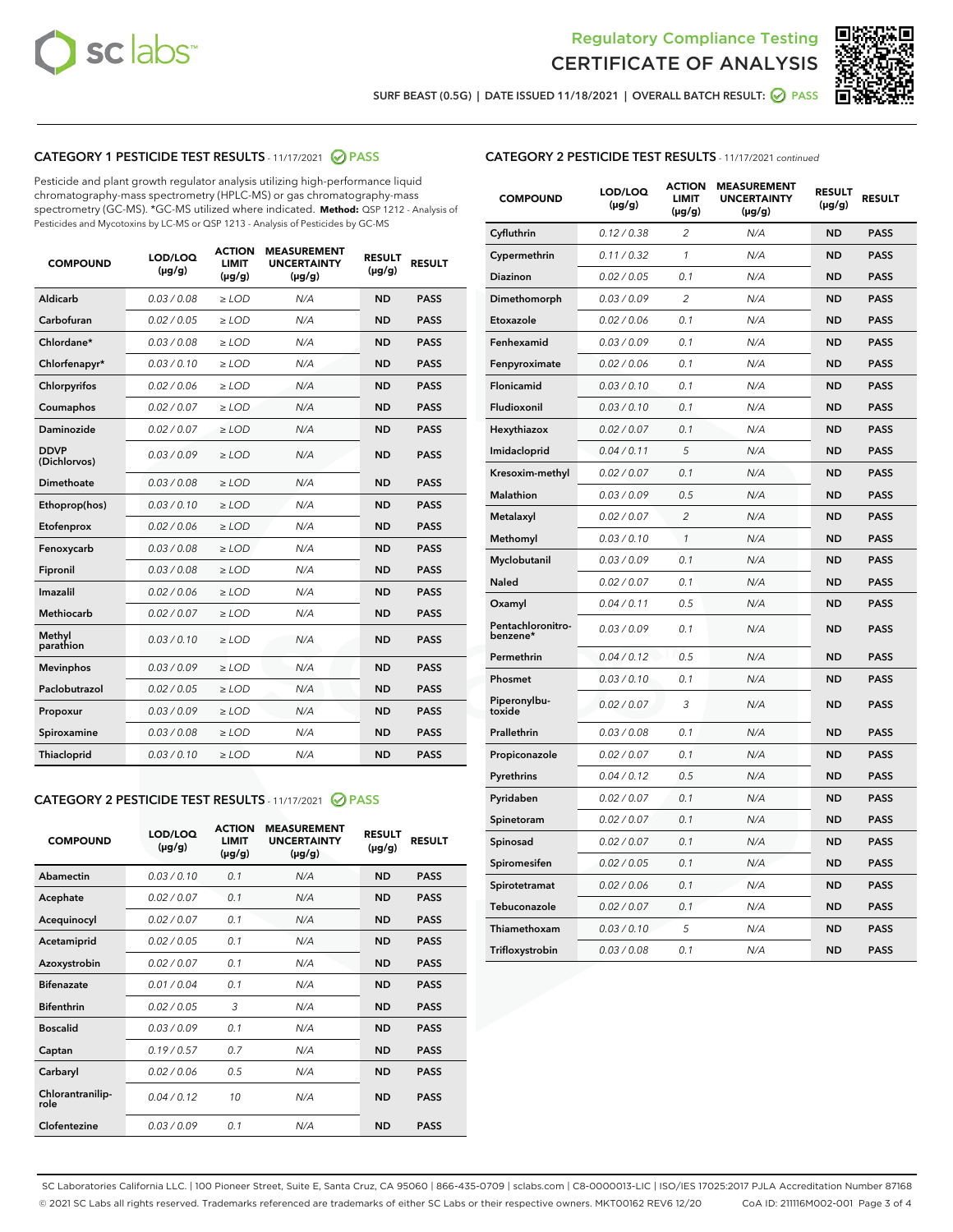



SURF BEAST (0.5G) | DATE ISSUED 11/18/2021 | OVERALL BATCH RESULT: 2 PASS

# CATEGORY 1 PESTICIDE TEST RESULTS - 11/17/2021 2 PASS

Pesticide and plant growth regulator analysis utilizing high-performance liquid chromatography-mass spectrometry (HPLC-MS) or gas chromatography-mass spectrometry (GC-MS). \*GC-MS utilized where indicated. **Method:** QSP 1212 - Analysis of Pesticides and Mycotoxins by LC-MS or QSP 1213 - Analysis of Pesticides by GC-MS

| Aldicarb<br>0.03 / 0.08<br>$\ge$ LOD<br>N/A<br><b>ND</b><br><b>PASS</b><br>Carbofuran<br>0.02 / 0.05<br><b>ND</b><br><b>PASS</b><br>$\ge$ LOD<br>N/A<br>Chlordane*<br>0.03 / 0.08<br>$\ge$ LOD<br>N/A<br><b>ND</b><br><b>PASS</b><br>Chlorfenapyr*<br>0.03/0.10<br>N/A<br><b>ND</b><br><b>PASS</b><br>$\ge$ LOD<br>N/A<br><b>ND</b><br><b>PASS</b><br>Chlorpyrifos<br>0.02 / 0.06<br>$\ge$ LOD<br>0.02 / 0.07<br>Coumaphos<br>$>$ LOD<br>N/A<br><b>ND</b><br><b>PASS</b><br>Daminozide<br>0.02/0.07<br>N/A<br><b>ND</b><br>$>$ LOD<br><b>PASS</b><br><b>DDVP</b><br>0.03/0.09<br>$\ge$ LOD<br>N/A<br><b>ND</b><br><b>PASS</b><br>(Dichlorvos)<br>Dimethoate<br>0.03 / 0.08<br>$\ge$ LOD<br>N/A<br><b>ND</b><br><b>PASS</b><br>0.03/0.10<br><b>ND</b><br><b>PASS</b><br>$\ge$ LOD<br>N/A<br>Ethoprop(hos)<br>0.02 / 0.06<br>$\ge$ LOD<br>N/A<br><b>ND</b><br><b>PASS</b><br>Etofenprox<br>0.03 / 0.08<br>$\ge$ LOD<br>N/A<br><b>ND</b><br><b>PASS</b><br>Fenoxycarb<br>0.03 / 0.08<br>Fipronil<br>$\ge$ LOD<br>N/A<br><b>ND</b><br><b>PASS</b><br>Imazalil<br>0.02 / 0.06<br>$\ge$ LOD<br>N/A<br><b>ND</b><br><b>PASS</b><br>Methiocarb<br>0.02 / 0.07<br>N/A<br><b>ND</b><br>$>$ LOD<br><b>PASS</b><br>Methyl<br>N/A<br><b>ND</b><br>0.03/0.10<br>$\ge$ LOD<br><b>PASS</b><br>parathion<br>0.03/0.09<br>N/A<br><b>ND</b><br><b>PASS</b><br><b>Mevinphos</b><br>$\ge$ LOD<br>Paclobutrazol<br>0.02 / 0.05<br><b>ND</b><br><b>PASS</b><br>$\ge$ LOD<br>N/A<br>0.03/0.09<br>$\ge$ LOD<br>N/A<br><b>ND</b><br><b>PASS</b><br>Propoxur<br>0.03 / 0.08<br>$\ge$ LOD<br>N/A<br><b>ND</b><br><b>PASS</b><br>Spiroxamine<br>0.03/0.10<br>Thiacloprid<br>$\ge$ LOD<br>N/A<br><b>ND</b><br><b>PASS</b> | <b>COMPOUND</b> | LOD/LOQ<br>$(\mu g/g)$ | <b>ACTION</b><br><b>LIMIT</b><br>$(\mu g/g)$ | <b>MEASUREMENT</b><br><b>UNCERTAINTY</b><br>$(\mu g/g)$ | <b>RESULT</b><br>$(\mu g/g)$ | <b>RESULT</b> |
|---------------------------------------------------------------------------------------------------------------------------------------------------------------------------------------------------------------------------------------------------------------------------------------------------------------------------------------------------------------------------------------------------------------------------------------------------------------------------------------------------------------------------------------------------------------------------------------------------------------------------------------------------------------------------------------------------------------------------------------------------------------------------------------------------------------------------------------------------------------------------------------------------------------------------------------------------------------------------------------------------------------------------------------------------------------------------------------------------------------------------------------------------------------------------------------------------------------------------------------------------------------------------------------------------------------------------------------------------------------------------------------------------------------------------------------------------------------------------------------------------------------------------------------------------------------------------------------------------------------------------------------------------------------------------------------------|-----------------|------------------------|----------------------------------------------|---------------------------------------------------------|------------------------------|---------------|
|                                                                                                                                                                                                                                                                                                                                                                                                                                                                                                                                                                                                                                                                                                                                                                                                                                                                                                                                                                                                                                                                                                                                                                                                                                                                                                                                                                                                                                                                                                                                                                                                                                                                                             |                 |                        |                                              |                                                         |                              |               |
|                                                                                                                                                                                                                                                                                                                                                                                                                                                                                                                                                                                                                                                                                                                                                                                                                                                                                                                                                                                                                                                                                                                                                                                                                                                                                                                                                                                                                                                                                                                                                                                                                                                                                             |                 |                        |                                              |                                                         |                              |               |
|                                                                                                                                                                                                                                                                                                                                                                                                                                                                                                                                                                                                                                                                                                                                                                                                                                                                                                                                                                                                                                                                                                                                                                                                                                                                                                                                                                                                                                                                                                                                                                                                                                                                                             |                 |                        |                                              |                                                         |                              |               |
|                                                                                                                                                                                                                                                                                                                                                                                                                                                                                                                                                                                                                                                                                                                                                                                                                                                                                                                                                                                                                                                                                                                                                                                                                                                                                                                                                                                                                                                                                                                                                                                                                                                                                             |                 |                        |                                              |                                                         |                              |               |
|                                                                                                                                                                                                                                                                                                                                                                                                                                                                                                                                                                                                                                                                                                                                                                                                                                                                                                                                                                                                                                                                                                                                                                                                                                                                                                                                                                                                                                                                                                                                                                                                                                                                                             |                 |                        |                                              |                                                         |                              |               |
|                                                                                                                                                                                                                                                                                                                                                                                                                                                                                                                                                                                                                                                                                                                                                                                                                                                                                                                                                                                                                                                                                                                                                                                                                                                                                                                                                                                                                                                                                                                                                                                                                                                                                             |                 |                        |                                              |                                                         |                              |               |
|                                                                                                                                                                                                                                                                                                                                                                                                                                                                                                                                                                                                                                                                                                                                                                                                                                                                                                                                                                                                                                                                                                                                                                                                                                                                                                                                                                                                                                                                                                                                                                                                                                                                                             |                 |                        |                                              |                                                         |                              |               |
|                                                                                                                                                                                                                                                                                                                                                                                                                                                                                                                                                                                                                                                                                                                                                                                                                                                                                                                                                                                                                                                                                                                                                                                                                                                                                                                                                                                                                                                                                                                                                                                                                                                                                             |                 |                        |                                              |                                                         |                              |               |
|                                                                                                                                                                                                                                                                                                                                                                                                                                                                                                                                                                                                                                                                                                                                                                                                                                                                                                                                                                                                                                                                                                                                                                                                                                                                                                                                                                                                                                                                                                                                                                                                                                                                                             |                 |                        |                                              |                                                         |                              |               |
|                                                                                                                                                                                                                                                                                                                                                                                                                                                                                                                                                                                                                                                                                                                                                                                                                                                                                                                                                                                                                                                                                                                                                                                                                                                                                                                                                                                                                                                                                                                                                                                                                                                                                             |                 |                        |                                              |                                                         |                              |               |
|                                                                                                                                                                                                                                                                                                                                                                                                                                                                                                                                                                                                                                                                                                                                                                                                                                                                                                                                                                                                                                                                                                                                                                                                                                                                                                                                                                                                                                                                                                                                                                                                                                                                                             |                 |                        |                                              |                                                         |                              |               |
|                                                                                                                                                                                                                                                                                                                                                                                                                                                                                                                                                                                                                                                                                                                                                                                                                                                                                                                                                                                                                                                                                                                                                                                                                                                                                                                                                                                                                                                                                                                                                                                                                                                                                             |                 |                        |                                              |                                                         |                              |               |
|                                                                                                                                                                                                                                                                                                                                                                                                                                                                                                                                                                                                                                                                                                                                                                                                                                                                                                                                                                                                                                                                                                                                                                                                                                                                                                                                                                                                                                                                                                                                                                                                                                                                                             |                 |                        |                                              |                                                         |                              |               |
|                                                                                                                                                                                                                                                                                                                                                                                                                                                                                                                                                                                                                                                                                                                                                                                                                                                                                                                                                                                                                                                                                                                                                                                                                                                                                                                                                                                                                                                                                                                                                                                                                                                                                             |                 |                        |                                              |                                                         |                              |               |
|                                                                                                                                                                                                                                                                                                                                                                                                                                                                                                                                                                                                                                                                                                                                                                                                                                                                                                                                                                                                                                                                                                                                                                                                                                                                                                                                                                                                                                                                                                                                                                                                                                                                                             |                 |                        |                                              |                                                         |                              |               |
|                                                                                                                                                                                                                                                                                                                                                                                                                                                                                                                                                                                                                                                                                                                                                                                                                                                                                                                                                                                                                                                                                                                                                                                                                                                                                                                                                                                                                                                                                                                                                                                                                                                                                             |                 |                        |                                              |                                                         |                              |               |
|                                                                                                                                                                                                                                                                                                                                                                                                                                                                                                                                                                                                                                                                                                                                                                                                                                                                                                                                                                                                                                                                                                                                                                                                                                                                                                                                                                                                                                                                                                                                                                                                                                                                                             |                 |                        |                                              |                                                         |                              |               |
|                                                                                                                                                                                                                                                                                                                                                                                                                                                                                                                                                                                                                                                                                                                                                                                                                                                                                                                                                                                                                                                                                                                                                                                                                                                                                                                                                                                                                                                                                                                                                                                                                                                                                             |                 |                        |                                              |                                                         |                              |               |
|                                                                                                                                                                                                                                                                                                                                                                                                                                                                                                                                                                                                                                                                                                                                                                                                                                                                                                                                                                                                                                                                                                                                                                                                                                                                                                                                                                                                                                                                                                                                                                                                                                                                                             |                 |                        |                                              |                                                         |                              |               |
|                                                                                                                                                                                                                                                                                                                                                                                                                                                                                                                                                                                                                                                                                                                                                                                                                                                                                                                                                                                                                                                                                                                                                                                                                                                                                                                                                                                                                                                                                                                                                                                                                                                                                             |                 |                        |                                              |                                                         |                              |               |
|                                                                                                                                                                                                                                                                                                                                                                                                                                                                                                                                                                                                                                                                                                                                                                                                                                                                                                                                                                                                                                                                                                                                                                                                                                                                                                                                                                                                                                                                                                                                                                                                                                                                                             |                 |                        |                                              |                                                         |                              |               |

# CATEGORY 2 PESTICIDE TEST RESULTS - 11/17/2021 @ PASS

| <b>COMPOUND</b>          | LOD/LOO<br>$(\mu g/g)$ | <b>ACTION</b><br>LIMIT<br>$(\mu g/g)$ | <b>MEASUREMENT</b><br><b>UNCERTAINTY</b><br>$(\mu g/g)$ | <b>RESULT</b><br>$(\mu g/g)$ | <b>RESULT</b> |  |
|--------------------------|------------------------|---------------------------------------|---------------------------------------------------------|------------------------------|---------------|--|
| Abamectin                | 0.03/0.10              | 0.1                                   | N/A                                                     | <b>ND</b>                    | <b>PASS</b>   |  |
| Acephate                 | 0.02/0.07              | 0.1                                   | N/A                                                     | <b>ND</b>                    | <b>PASS</b>   |  |
| Acequinocyl              | 0.02/0.07              | 0.1                                   | N/A                                                     | <b>ND</b>                    | <b>PASS</b>   |  |
| Acetamiprid              | 0.02/0.05              | 0.1                                   | N/A                                                     | <b>ND</b>                    | <b>PASS</b>   |  |
| Azoxystrobin             | 0.02/0.07              | 0.1                                   | N/A                                                     | <b>ND</b>                    | <b>PASS</b>   |  |
| <b>Bifenazate</b>        | 0.01/0.04              | 0.1                                   | N/A                                                     | <b>ND</b>                    | <b>PASS</b>   |  |
| <b>Bifenthrin</b>        | 0.02/0.05              | 3                                     | N/A                                                     | <b>ND</b>                    | <b>PASS</b>   |  |
| <b>Boscalid</b>          | 0.03/0.09              | 0.1                                   | N/A                                                     | <b>ND</b>                    | <b>PASS</b>   |  |
| Captan                   | 0.19/0.57              | 0.7                                   | N/A                                                     | <b>ND</b>                    | <b>PASS</b>   |  |
| Carbaryl                 | 0.02/0.06              | 0.5                                   | N/A                                                     | <b>ND</b>                    | <b>PASS</b>   |  |
| Chlorantranilip-<br>role | 0.04/0.12              | 10                                    | N/A                                                     | <b>ND</b>                    | <b>PASS</b>   |  |
| Clofentezine             | 0.03/0.09              | 0.1                                   | N/A                                                     | <b>ND</b>                    | <b>PASS</b>   |  |

#### CATEGORY 2 PESTICIDE TEST RESULTS - 11/17/2021 continued

| <b>COMPOUND</b>               | LOD/LOQ<br>(µg/g) | <b>ACTION</b><br><b>LIMIT</b><br>(µg/g) | <b>MEASUREMENT</b><br><b>UNCERTAINTY</b><br>$(\mu g/g)$ | <b>RESULT</b><br>(µg/g) | <b>RESULT</b> |
|-------------------------------|-------------------|-----------------------------------------|---------------------------------------------------------|-------------------------|---------------|
| Cyfluthrin                    | 0.12 / 0.38       | $\overline{c}$                          | N/A                                                     | <b>ND</b>               | <b>PASS</b>   |
| Cypermethrin                  | 0.11 / 0.32       | $\mathcal{I}$                           | N/A                                                     | <b>ND</b>               | <b>PASS</b>   |
| <b>Diazinon</b>               | 0.02 / 0.05       | 0.1                                     | N/A                                                     | <b>ND</b>               | <b>PASS</b>   |
| Dimethomorph                  | 0.03 / 0.09       | 2                                       | N/A                                                     | <b>ND</b>               | <b>PASS</b>   |
| Etoxazole                     | 0.02 / 0.06       | 0.1                                     | N/A                                                     | <b>ND</b>               | <b>PASS</b>   |
| Fenhexamid                    | 0.03 / 0.09       | 0.1                                     | N/A                                                     | <b>ND</b>               | <b>PASS</b>   |
| Fenpyroximate                 | 0.02 / 0.06       | 0.1                                     | N/A                                                     | <b>ND</b>               | <b>PASS</b>   |
| Flonicamid                    | 0.03/0.10         | 0.1                                     | N/A                                                     | <b>ND</b>               | <b>PASS</b>   |
| Fludioxonil                   | 0.03/0.10         | 0.1                                     | N/A                                                     | <b>ND</b>               | <b>PASS</b>   |
| Hexythiazox                   | 0.02 / 0.07       | 0.1                                     | N/A                                                     | <b>ND</b>               | <b>PASS</b>   |
| Imidacloprid                  | 0.04 / 0.11       | 5                                       | N/A                                                     | <b>ND</b>               | <b>PASS</b>   |
| Kresoxim-methyl               | 0.02 / 0.07       | 0.1                                     | N/A                                                     | <b>ND</b>               | <b>PASS</b>   |
| Malathion                     | 0.03 / 0.09       | 0.5                                     | N/A                                                     | <b>ND</b>               | <b>PASS</b>   |
| Metalaxyl                     | 0.02 / 0.07       | $\overline{c}$                          | N/A                                                     | <b>ND</b>               | <b>PASS</b>   |
| Methomyl                      | 0.03/0.10         | 1                                       | N/A                                                     | <b>ND</b>               | <b>PASS</b>   |
| Myclobutanil                  | 0.03 / 0.09       | 0.1                                     | N/A                                                     | <b>ND</b>               | <b>PASS</b>   |
| Naled                         | 0.02 / 0.07       | 0.1                                     | N/A                                                     | <b>ND</b>               | <b>PASS</b>   |
| Oxamyl                        | 0.04 / 0.11       | 0.5                                     | N/A                                                     | ND                      | <b>PASS</b>   |
| Pentachloronitro-<br>benzene* | 0.03 / 0.09       | 0.1                                     | N/A                                                     | <b>ND</b>               | <b>PASS</b>   |
| Permethrin                    | 0.04 / 0.12       | 0.5                                     | N/A                                                     | <b>ND</b>               | <b>PASS</b>   |
| Phosmet                       | 0.03 / 0.10       | 0.1                                     | N/A                                                     | <b>ND</b>               | <b>PASS</b>   |
| Piperonylbu-<br>toxide        | 0.02 / 0.07       | 3                                       | N/A                                                     | <b>ND</b>               | <b>PASS</b>   |
| Prallethrin                   | 0.03 / 0.08       | 0.1                                     | N/A                                                     | <b>ND</b>               | <b>PASS</b>   |
| Propiconazole                 | 0.02 / 0.07       | 0.1                                     | N/A                                                     | <b>ND</b>               | <b>PASS</b>   |
| Pyrethrins                    | 0.04 / 0.12       | 0.5                                     | N/A                                                     | <b>ND</b>               | <b>PASS</b>   |
| Pyridaben                     | 0.02 / 0.07       | 0.1                                     | N/A                                                     | <b>ND</b>               | <b>PASS</b>   |
| Spinetoram                    | 0.02 / 0.07       | 0.1                                     | N/A                                                     | <b>ND</b>               | <b>PASS</b>   |
| Spinosad                      | 0.02 / 0.07       | 0.1                                     | N/A                                                     | <b>ND</b>               | <b>PASS</b>   |
| Spiromesifen                  | 0.02 / 0.05       | 0.1                                     | N/A                                                     | <b>ND</b>               | <b>PASS</b>   |
| Spirotetramat                 | 0.02 / 0.06       | 0.1                                     | N/A                                                     | <b>ND</b>               | <b>PASS</b>   |
| Tebuconazole                  | 0.02 / 0.07       | 0.1                                     | N/A                                                     | <b>ND</b>               | <b>PASS</b>   |
| Thiamethoxam                  | 0.03 / 0.10       | 5                                       | N/A                                                     | <b>ND</b>               | <b>PASS</b>   |
| Trifloxystrobin               | 0.03 / 0.08       | 0.1                                     | N/A                                                     | <b>ND</b>               | <b>PASS</b>   |

SC Laboratories California LLC. | 100 Pioneer Street, Suite E, Santa Cruz, CA 95060 | 866-435-0709 | sclabs.com | C8-0000013-LIC | ISO/IES 17025:2017 PJLA Accreditation Number 87168 © 2021 SC Labs all rights reserved. Trademarks referenced are trademarks of either SC Labs or their respective owners. MKT00162 REV6 12/20 CoA ID: 211116M002-001 Page 3 of 4